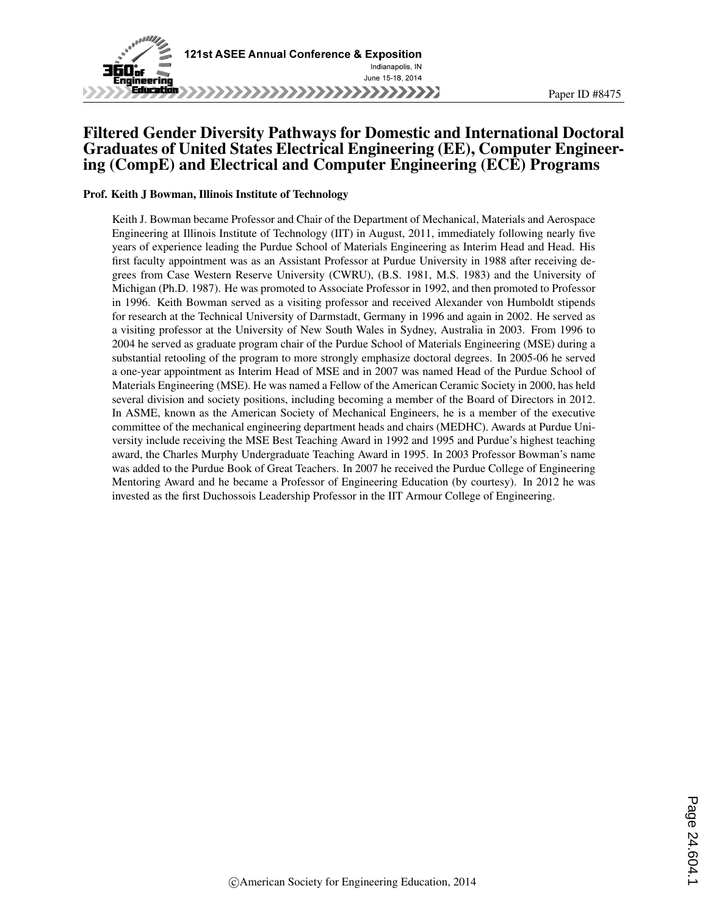

### Filtered Gender Diversity Pathways for Domestic and International Doctoral Graduates of United States Electrical Engineering (EE), Computer Engineering (CompE) and Electrical and Computer Engineering (ECE) Programs

#### Prof. Keith J Bowman, Illinois Institute of Technology

Keith J. Bowman became Professor and Chair of the Department of Mechanical, Materials and Aerospace Engineering at Illinois Institute of Technology (IIT) in August, 2011, immediately following nearly five years of experience leading the Purdue School of Materials Engineering as Interim Head and Head. His first faculty appointment was as an Assistant Professor at Purdue University in 1988 after receiving degrees from Case Western Reserve University (CWRU), (B.S. 1981, M.S. 1983) and the University of Michigan (Ph.D. 1987). He was promoted to Associate Professor in 1992, and then promoted to Professor in 1996. Keith Bowman served as a visiting professor and received Alexander von Humboldt stipends for research at the Technical University of Darmstadt, Germany in 1996 and again in 2002. He served as a visiting professor at the University of New South Wales in Sydney, Australia in 2003. From 1996 to 2004 he served as graduate program chair of the Purdue School of Materials Engineering (MSE) during a substantial retooling of the program to more strongly emphasize doctoral degrees. In 2005-06 he served a one-year appointment as Interim Head of MSE and in 2007 was named Head of the Purdue School of Materials Engineering (MSE). He was named a Fellow of the American Ceramic Society in 2000, has held several division and society positions, including becoming a member of the Board of Directors in 2012. In ASME, known as the American Society of Mechanical Engineers, he is a member of the executive committee of the mechanical engineering department heads and chairs (MEDHC). Awards at Purdue University include receiving the MSE Best Teaching Award in 1992 and 1995 and Purdue's highest teaching award, the Charles Murphy Undergraduate Teaching Award in 1995. In 2003 Professor Bowman's name was added to the Purdue Book of Great Teachers. In 2007 he received the Purdue College of Engineering Mentoring Award and he became a Professor of Engineering Education (by courtesy). In 2012 he was invested as the first Duchossois Leadership Professor in the IIT Armour College of Engineering.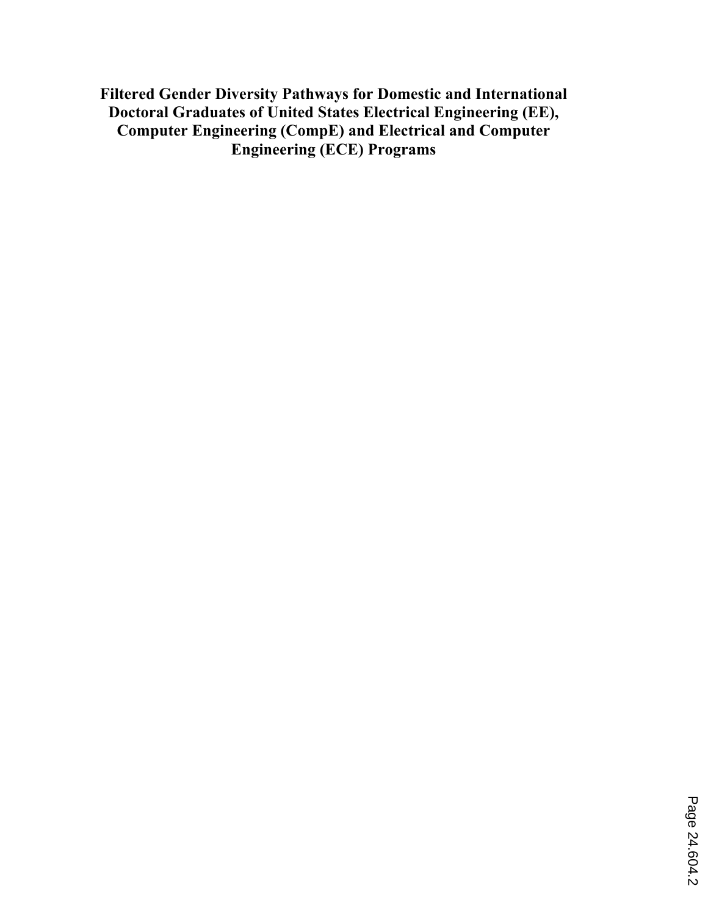**Filtered Gender Diversity Pathways for Domestic and International Doctoral Graduates of United States Electrical Engineering (EE), Computer Engineering (CompE) and Electrical and Computer Engineering (ECE) Programs**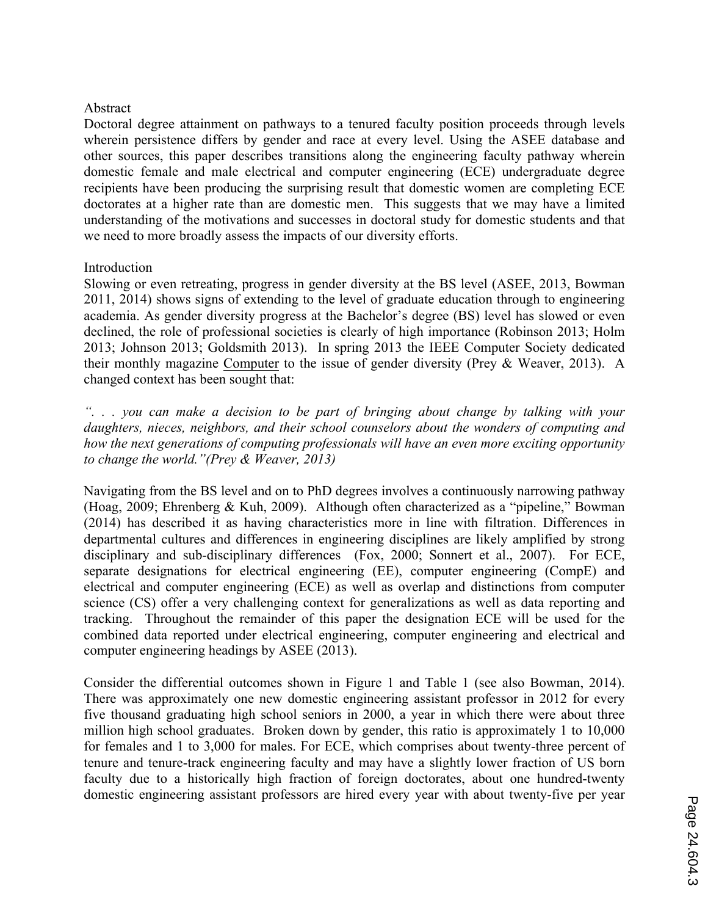### Abstract

Doctoral degree attainment on pathways to a tenured faculty position proceeds through levels wherein persistence differs by gender and race at every level. Using the ASEE database and other sources, this paper describes transitions along the engineering faculty pathway wherein domestic female and male electrical and computer engineering (ECE) undergraduate degree recipients have been producing the surprising result that domestic women are completing ECE doctorates at a higher rate than are domestic men. This suggests that we may have a limited understanding of the motivations and successes in doctoral study for domestic students and that we need to more broadly assess the impacts of our diversity efforts.

#### Introduction

Slowing or even retreating, progress in gender diversity at the BS level (ASEE, 2013, Bowman 2011, 2014) shows signs of extending to the level of graduate education through to engineering academia. As gender diversity progress at the Bachelor's degree (BS) level has slowed or even declined, the role of professional societies is clearly of high importance (Robinson 2013; Holm 2013; Johnson 2013; Goldsmith 2013). In spring 2013 the IEEE Computer Society dedicated their monthly magazine Computer to the issue of gender diversity (Prey & Weaver, 2013). A changed context has been sought that:

*". . . you can make a decision to be part of bringing about change by talking with your daughters, nieces, neighbors, and their school counselors about the wonders of computing and how the next generations of computing professionals will have an even more exciting opportunity to change the world."(Prey & Weaver, 2013)*

Navigating from the BS level and on to PhD degrees involves a continuously narrowing pathway (Hoag, 2009; Ehrenberg & Kuh, 2009). Although often characterized as a "pipeline," Bowman (2014) has described it as having characteristics more in line with filtration. Differences in departmental cultures and differences in engineering disciplines are likely amplified by strong disciplinary and sub-disciplinary differences (Fox, 2000; Sonnert et al., 2007). For ECE, separate designations for electrical engineering (EE), computer engineering (CompE) and electrical and computer engineering (ECE) as well as overlap and distinctions from computer science (CS) offer a very challenging context for generalizations as well as data reporting and tracking. Throughout the remainder of this paper the designation ECE will be used for the combined data reported under electrical engineering, computer engineering and electrical and computer engineering headings by ASEE (2013).

Consider the differential outcomes shown in Figure 1 and Table 1 (see also Bowman, 2014). There was approximately one new domestic engineering assistant professor in 2012 for every five thousand graduating high school seniors in 2000, a year in which there were about three million high school graduates. Broken down by gender, this ratio is approximately 1 to 10,000 for females and 1 to 3,000 for males. For ECE, which comprises about twenty-three percent of tenure and tenure-track engineering faculty and may have a slightly lower fraction of US born faculty due to a historically high fraction of foreign doctorates, about one hundred-twenty domestic engineering assistant professors are hired every year with about twenty-five per year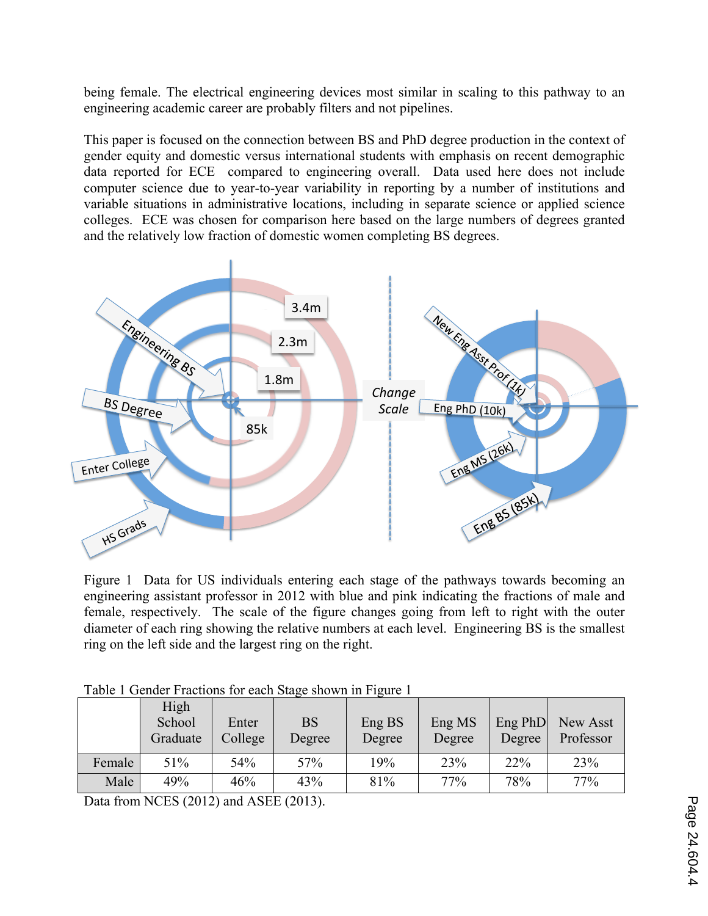being female. The electrical engineering devices most similar in scaling to this pathway to an engineering academic career are probably filters and not pipelines.

This paper is focused on the connection between BS and PhD degree production in the context of gender equity and domestic versus international students with emphasis on recent demographic data reported for ECE compared to engineering overall. Data used here does not include computer science due to year-to-year variability in reporting by a number of institutions and variable situations in administrative locations, including in separate science or applied science colleges. ECE was chosen for comparison here based on the large numbers of degrees granted and the relatively low fraction of domestic women completing BS degrees.



Figure 1 Data for US individuals entering each stage of the pathways towards becoming an engineering assistant professor in 2012 with blue and pink indicating the fractions of male and female, respectively. The scale of the figure changes going from left to right with the outer diameter of each ring showing the relative numbers at each level. Engineering BS is the smallest ring on the left side and the largest ring on the right.

|        | High<br>School<br>Graduate | Enter<br>College | <b>BS</b><br>Degree | Eng BS<br>Degree | Eng MS<br>Degree | Eng PhD<br>Degree | New Asst<br>Professor |
|--------|----------------------------|------------------|---------------------|------------------|------------------|-------------------|-----------------------|
| Female | 51%                        | 54%              | 57%                 | 19%              | 23%              | 22%               | 23%                   |
| Male   | 49%                        | 46%              | 43%                 | 81%              | 77%              | 78%               | 77%                   |

Table 1 Gender Fractions for each Stage shown in Figure 1

Data from NCES (2012) and ASEE (2013).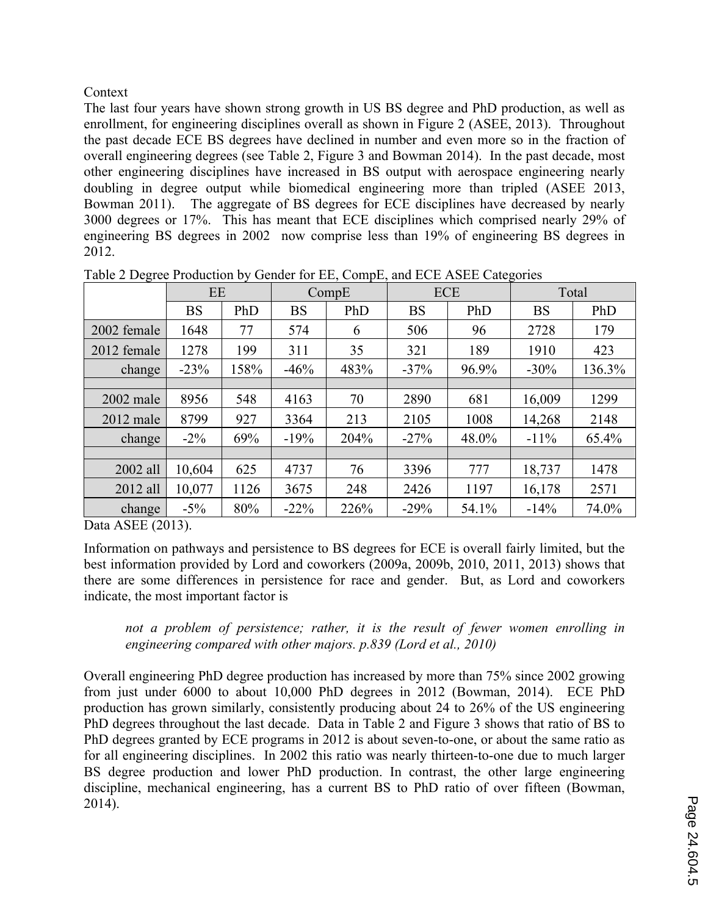Context

The last four years have shown strong growth in US BS degree and PhD production, as well as enrollment, for engineering disciplines overall as shown in Figure 2 (ASEE, 2013). Throughout the past decade ECE BS degrees have declined in number and even more so in the fraction of overall engineering degrees (see Table 2, Figure 3 and Bowman 2014). In the past decade, most other engineering disciplines have increased in BS output with aerospace engineering nearly doubling in degree output while biomedical engineering more than tripled (ASEE 2013, Bowman 2011). The aggregate of BS degrees for ECE disciplines have decreased by nearly 3000 degrees or 17%. This has meant that ECE disciplines which comprised nearly 29% of engineering BS degrees in 2002 now comprise less than 19% of engineering BS degrees in 2012.

|             | EE        |      |           | CompE | <b>ECE</b> |       | Total     |        |
|-------------|-----------|------|-----------|-------|------------|-------|-----------|--------|
|             | <b>BS</b> | PhD  | <b>BS</b> | PhD   | <b>BS</b>  | PhD   | <b>BS</b> | PhD    |
| 2002 female | 1648      | 77   | 574       | 6     | 506        | 96    | 2728      | 179    |
| 2012 female | 1278      | 199  | 311       | 35    | 321        | 189   | 1910      | 423    |
| change      | $-23%$    | 158% | $-46%$    | 483%  | $-37%$     | 96.9% | $-30\%$   | 136.3% |
|             |           |      |           |       |            |       |           |        |
| $2002$ male | 8956      | 548  | 4163      | 70    | 2890       | 681   | 16,009    | 1299   |
| $2012$ male | 8799      | 927  | 3364      | 213   | 2105       | 1008  | 14,268    | 2148   |
| change      | $-2\%$    | 69%  | $-19%$    | 204%  | $-27%$     | 48.0% | $-11\%$   | 65.4%  |
|             |           |      |           |       |            |       |           |        |
| 2002 all    | 10,604    | 625  | 4737      | 76    | 3396       | 777   | 18,737    | 1478   |
| 2012 all    | 10,077    | 1126 | 3675      | 248   | 2426       | 1197  | 16,178    | 2571   |
| change      | $-5\%$    | 80%  | $-22\%$   | 226%  | $-29%$     | 54.1% | $-14%$    | 74.0%  |

Table 2 Degree Production by Gender for EE, CompE, and ECE ASEE Categories

Data ASEE (2013).

Information on pathways and persistence to BS degrees for ECE is overall fairly limited, but the best information provided by Lord and coworkers (2009a, 2009b, 2010, 2011, 2013) shows that there are some differences in persistence for race and gender. But, as Lord and coworkers indicate, the most important factor is

*not a problem of persistence; rather, it is the result of fewer women enrolling in engineering compared with other majors. p.839 (Lord et al., 2010)*

Overall engineering PhD degree production has increased by more than 75% since 2002 growing from just under 6000 to about 10,000 PhD degrees in 2012 (Bowman, 2014). ECE PhD production has grown similarly, consistently producing about 24 to 26% of the US engineering PhD degrees throughout the last decade. Data in Table 2 and Figure 3 shows that ratio of BS to PhD degrees granted by ECE programs in 2012 is about seven-to-one, or about the same ratio as for all engineering disciplines. In 2002 this ratio was nearly thirteen-to-one due to much larger BS degree production and lower PhD production. In contrast, the other large engineering discipline, mechanical engineering, has a current BS to PhD ratio of over fifteen (Bowman, 2014).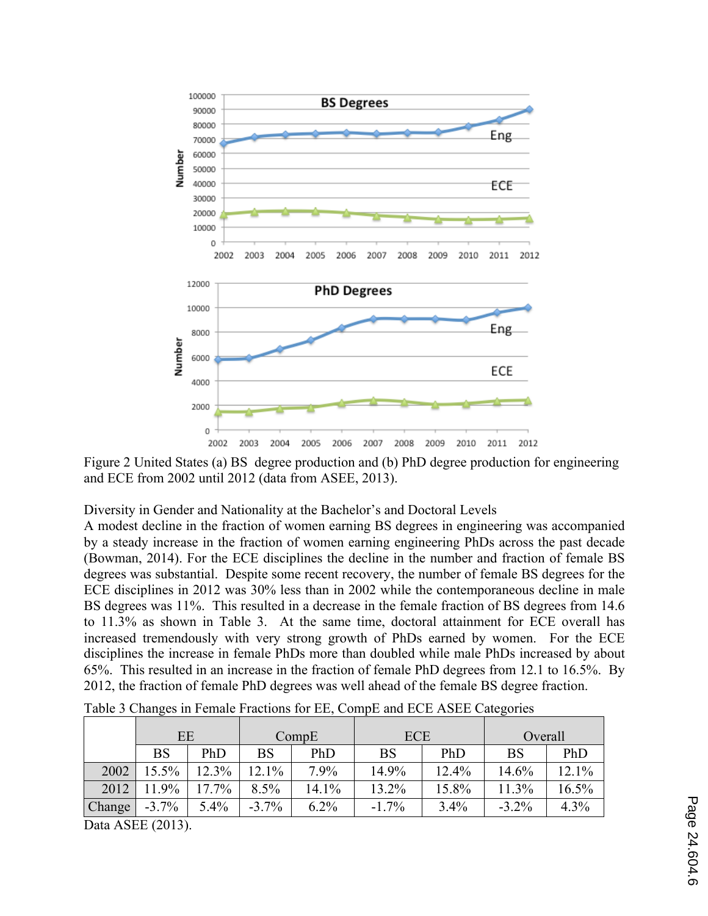

Figure 2 United States (a) BS degree production and (b) PhD degree production for engineering and ECE from 2002 until 2012 (data from ASEE, 2013).

Diversity in Gender and Nationality at the Bachelor's and Doctoral Levels

A modest decline in the fraction of women earning BS degrees in engineering was accompanied by a steady increase in the fraction of women earning engineering PhDs across the past decade (Bowman, 2014). For the ECE disciplines the decline in the number and fraction of female BS degrees was substantial. Despite some recent recovery, the number of female BS degrees for the ECE disciplines in 2012 was 30% less than in 2002 while the contemporaneous decline in male BS degrees was 11%. This resulted in a decrease in the female fraction of BS degrees from 14.6 to 11.3% as shown in Table 3. At the same time, doctoral attainment for ECE overall has increased tremendously with very strong growth of PhDs earned by women. For the ECE disciplines the increase in female PhDs more than doubled while male PhDs increased by about 65%. This resulted in an increase in the fraction of female PhD degrees from 12.1 to 16.5%. By 2012, the fraction of female PhD degrees was well ahead of the female BS degree fraction.

|        | EE          |       | CompE       |         | <b>ECE</b> |       | Overall   |       |
|--------|-------------|-------|-------------|---------|------------|-------|-----------|-------|
|        | $_{\rm BS}$ | PhD   | $_{\rm BS}$ | PhD     | <b>BS</b>  | PhD   | <b>BS</b> | PhD   |
| 2002   | 15.5%       | 12.3% | 12.1%       | 7.9%    | 14.9%      | 12.4% | 14.6%     | 12.1% |
| 2012   | 11.9%       | 17.7% | 8.5%        | 14.1%   | 13.2%      | 15.8% | 11.3%     | 16.5% |
| Change | $-3.7%$     | 5.4%  | $-3.7%$     | $6.2\%$ | $-1.7\%$   | 3.4%  | $-3.2\%$  | 4.3%  |

Table 3 Changes in Female Fractions for EE, CompE and ECE ASEE Categories

Data ASEE (2013).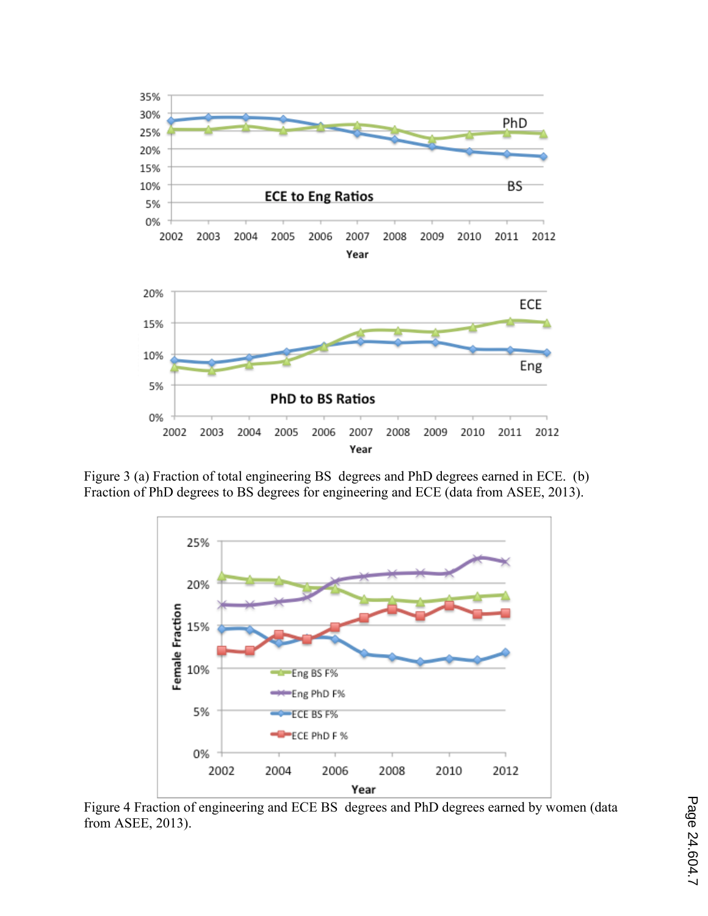

Figure 3 (a) Fraction of total engineering BS degrees and PhD degrees earned in ECE. (b) Fraction of PhD degrees to BS degrees for engineering and ECE (data from ASEE, 2013).



Figure 4 Fraction of engineering and ECE BS degrees and PhD degrees earned by women (data from ASEE, 2013).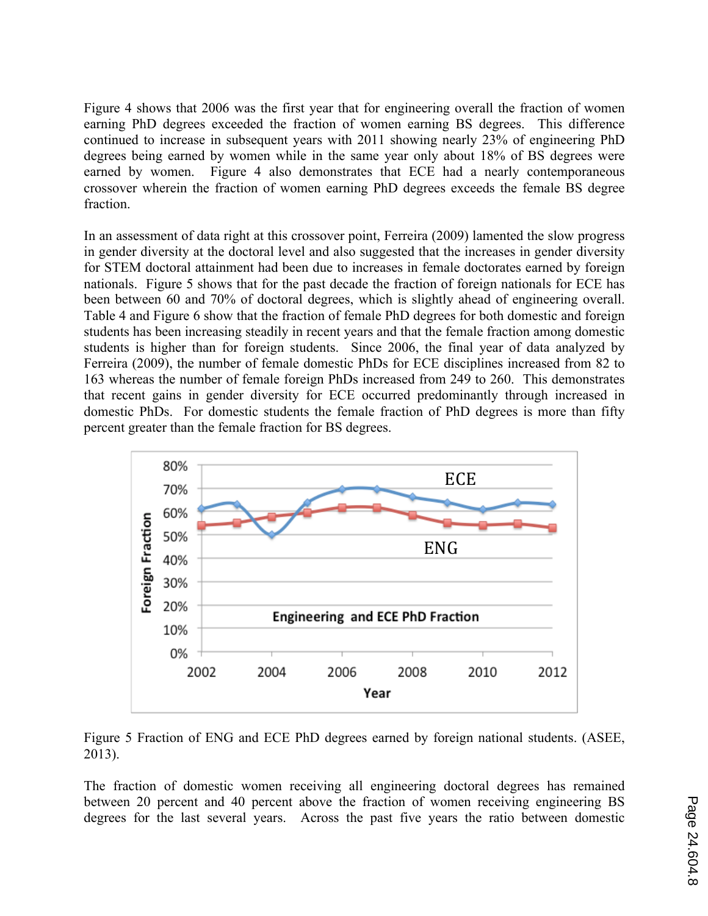Figure 4 shows that 2006 was the first year that for engineering overall the fraction of women earning PhD degrees exceeded the fraction of women earning BS degrees. This difference continued to increase in subsequent years with 2011 showing nearly 23% of engineering PhD degrees being earned by women while in the same year only about 18% of BS degrees were earned by women. Figure 4 also demonstrates that ECE had a nearly contemporaneous crossover wherein the fraction of women earning PhD degrees exceeds the female BS degree fraction.

In an assessment of data right at this crossover point, Ferreira (2009) lamented the slow progress in gender diversity at the doctoral level and also suggested that the increases in gender diversity for STEM doctoral attainment had been due to increases in female doctorates earned by foreign nationals. Figure 5 shows that for the past decade the fraction of foreign nationals for ECE has been between 60 and 70% of doctoral degrees, which is slightly ahead of engineering overall. Table 4 and Figure 6 show that the fraction of female PhD degrees for both domestic and foreign students has been increasing steadily in recent years and that the female fraction among domestic students is higher than for foreign students. Since 2006, the final year of data analyzed by Ferreira (2009), the number of female domestic PhDs for ECE disciplines increased from 82 to 163 whereas the number of female foreign PhDs increased from 249 to 260. This demonstrates that recent gains in gender diversity for ECE occurred predominantly through increased in domestic PhDs. For domestic students the female fraction of PhD degrees is more than fifty percent greater than the female fraction for BS degrees.



Figure 5 Fraction of ENG and ECE PhD degrees earned by foreign national students. (ASEE, 2013).

The fraction of domestic women receiving all engineering doctoral degrees has remained between 20 percent and 40 percent above the fraction of women receiving engineering BS degrees for the last several years. Across the past five years the ratio between domestic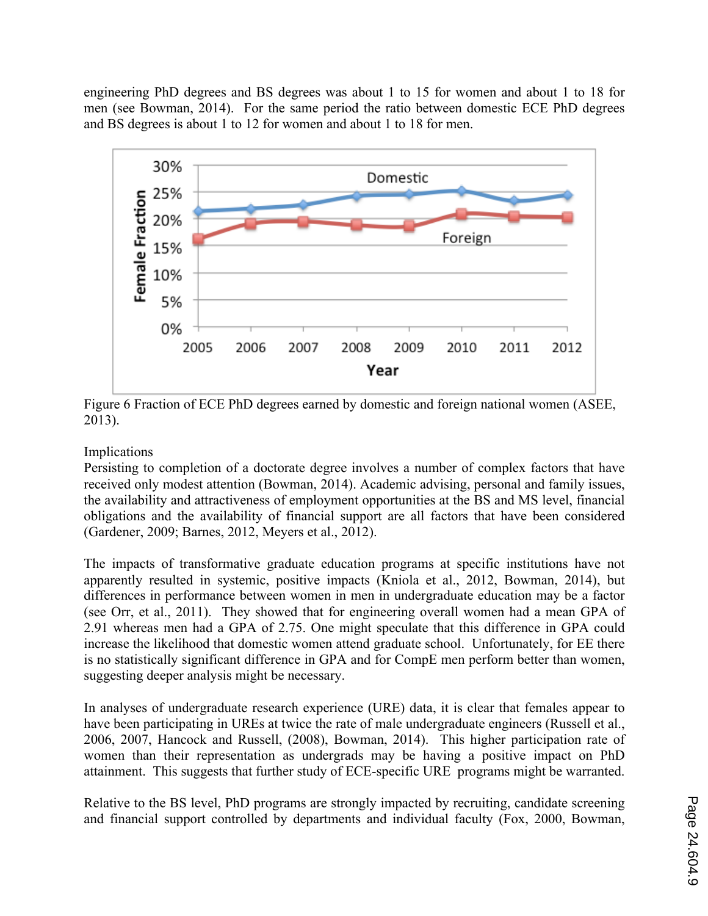engineering PhD degrees and BS degrees was about 1 to 15 for women and about 1 to 18 for men (see Bowman, 2014). For the same period the ratio between domestic ECE PhD degrees and BS degrees is about 1 to 12 for women and about 1 to 18 for men.



Figure 6 Fraction of ECE PhD degrees earned by domestic and foreign national women (ASEE, 2013).

# Implications

Persisting to completion of a doctorate degree involves a number of complex factors that have received only modest attention (Bowman, 2014). Academic advising, personal and family issues, the availability and attractiveness of employment opportunities at the BS and MS level, financial obligations and the availability of financial support are all factors that have been considered (Gardener, 2009; Barnes, 2012, Meyers et al., 2012).

The impacts of transformative graduate education programs at specific institutions have not apparently resulted in systemic, positive impacts (Kniola et al., 2012, Bowman, 2014), but differences in performance between women in men in undergraduate education may be a factor (see Orr, et al., 2011). They showed that for engineering overall women had a mean GPA of 2.91 whereas men had a GPA of 2.75. One might speculate that this difference in GPA could increase the likelihood that domestic women attend graduate school. Unfortunately, for EE there is no statistically significant difference in GPA and for CompE men perform better than women, suggesting deeper analysis might be necessary.

In analyses of undergraduate research experience (URE) data, it is clear that females appear to have been participating in UREs at twice the rate of male undergraduate engineers (Russell et al., 2006, 2007, Hancock and Russell, (2008), Bowman, 2014). This higher participation rate of women than their representation as undergrads may be having a positive impact on PhD attainment. This suggests that further study of ECE-specific URE programs might be warranted.

Relative to the BS level, PhD programs are strongly impacted by recruiting, candidate screening and financial support controlled by departments and individual faculty (Fox, 2000, Bowman,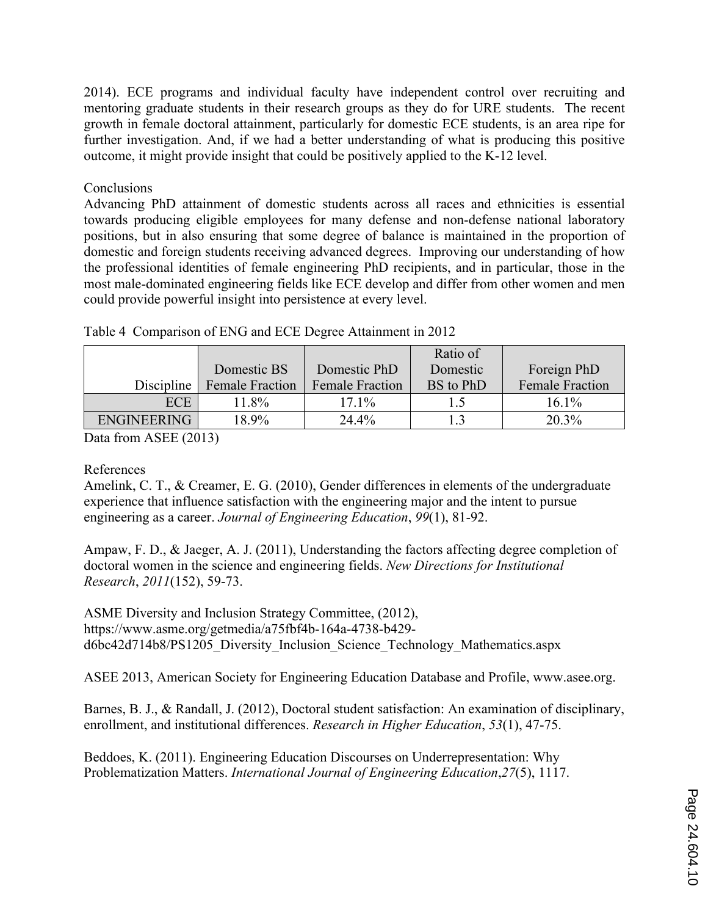2014). ECE programs and individual faculty have independent control over recruiting and mentoring graduate students in their research groups as they do for URE students. The recent growth in female doctoral attainment, particularly for domestic ECE students, is an area ripe for further investigation. And, if we had a better understanding of what is producing this positive outcome, it might provide insight that could be positively applied to the K-12 level.

# Conclusions

Advancing PhD attainment of domestic students across all races and ethnicities is essential towards producing eligible employees for many defense and non-defense national laboratory positions, but in also ensuring that some degree of balance is maintained in the proportion of domestic and foreign students receiving advanced degrees. Improving our understanding of how the professional identities of female engineering PhD recipients, and in particular, those in the most male-dominated engineering fields like ECE develop and differ from other women and men could provide powerful insight into persistence at every level.

|                    |                        |                        | Ratio of  |                        |
|--------------------|------------------------|------------------------|-----------|------------------------|
|                    | Domestic BS            | Domestic PhD           | Domestic  | Foreign PhD            |
| Discipline         | <b>Female Fraction</b> | <b>Female Fraction</b> | BS to PhD | <b>Female Fraction</b> |
| <b>ECE</b>         | 11.8%                  | $17.1\%$               |           | 16.1%                  |
| <b>ENGINEERING</b> | 18.9%                  | 24.4%                  |           | 20.3%                  |

Table 4 Comparison of ENG and ECE Degree Attainment in 2012

Data from ASEE (2013)

### References

Amelink, C. T., & Creamer, E. G. (2010), Gender differences in elements of the undergraduate experience that influence satisfaction with the engineering major and the intent to pursue engineering as a career. *Journal of Engineering Education*, *99*(1), 81-92.

Ampaw, F. D., & Jaeger, A. J. (2011), Understanding the factors affecting degree completion of doctoral women in the science and engineering fields. *New Directions for Institutional Research*, *2011*(152), 59-73.

ASME Diversity and Inclusion Strategy Committee, (2012), https://www.asme.org/getmedia/a75fbf4b-164a-4738-b429 d6bc42d714b8/PS1205\_Diversity\_Inclusion\_Science\_Technology\_Mathematics.aspx

ASEE 2013, American Society for Engineering Education Database and Profile, www.asee.org.

Barnes, B. J., & Randall, J. (2012), Doctoral student satisfaction: An examination of disciplinary, enrollment, and institutional differences. *Research in Higher Education*, *53*(1), 47-75.

Beddoes, K. (2011). Engineering Education Discourses on Underrepresentation: Why Problematization Matters. *International Journal of Engineering Education*,*27*(5), 1117.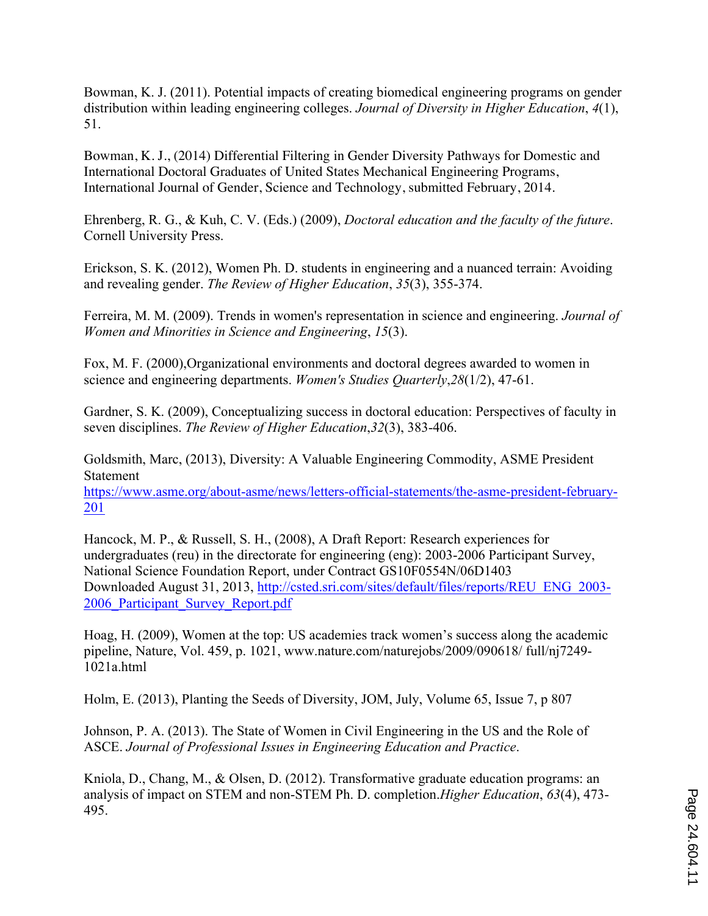Bowman, K. J. (2011). Potential impacts of creating biomedical engineering programs on gender distribution within leading engineering colleges. *Journal of Diversity in Higher Education*, *4*(1), 51.

Bowman, K. J., (2014) Differential Filtering in Gender Diversity Pathways for Domestic and International Doctoral Graduates of United States Mechanical Engineering Programs, International Journal of Gender, Science and Technology, submitted February, 2014.

Ehrenberg, R. G., & Kuh, C. V. (Eds.) (2009), *Doctoral education and the faculty of the future*. Cornell University Press.

Erickson, S. K. (2012), Women Ph. D. students in engineering and a nuanced terrain: Avoiding and revealing gender. *The Review of Higher Education*, *35*(3), 355-374.

Ferreira, M. M. (2009). Trends in women's representation in science and engineering. *Journal of Women and Minorities in Science and Engineering*, *15*(3).

Fox, M. F. (2000),Organizational environments and doctoral degrees awarded to women in science and engineering departments. *Women's Studies Quarterly*,*28*(1/2), 47-61.

Gardner, S. K. (2009), Conceptualizing success in doctoral education: Perspectives of faculty in seven disciplines. *The Review of Higher Education*,*32*(3), 383-406.

Goldsmith, Marc, (2013), Diversity: A Valuable Engineering Commodity, ASME President Statement

https://www.asme.org/about-asme/news/letters-official-statements/the-asme-president-february-201

Hancock, M. P., & Russell, S. H., (2008), A Draft Report: Research experiences for undergraduates (reu) in the directorate for engineering (eng): 2003-2006 Participant Survey, National Science Foundation Report, under Contract GS10F0554N/06D1403 Downloaded August 31, 2013, http://csted.sri.com/sites/default/files/reports/REU\_ENG\_2003- 2006\_Participant\_Survey\_Report.pdf

Hoag, H. (2009), Women at the top: US academies track women's success along the academic pipeline, Nature, Vol. 459, p. 1021, www.nature.com/naturejobs/2009/090618/ full/nj7249- 1021a.html

Holm, E. (2013), Planting the Seeds of Diversity, JOM, July, Volume 65, Issue 7, p 807

Johnson, P. A. (2013). The State of Women in Civil Engineering in the US and the Role of ASCE. *Journal of Professional Issues in Engineering Education and Practice*.

Kniola, D., Chang, M., & Olsen, D. (2012). Transformative graduate education programs: an analysis of impact on STEM and non-STEM Ph. D. completion.*Higher Education*, *63*(4), 473- 495.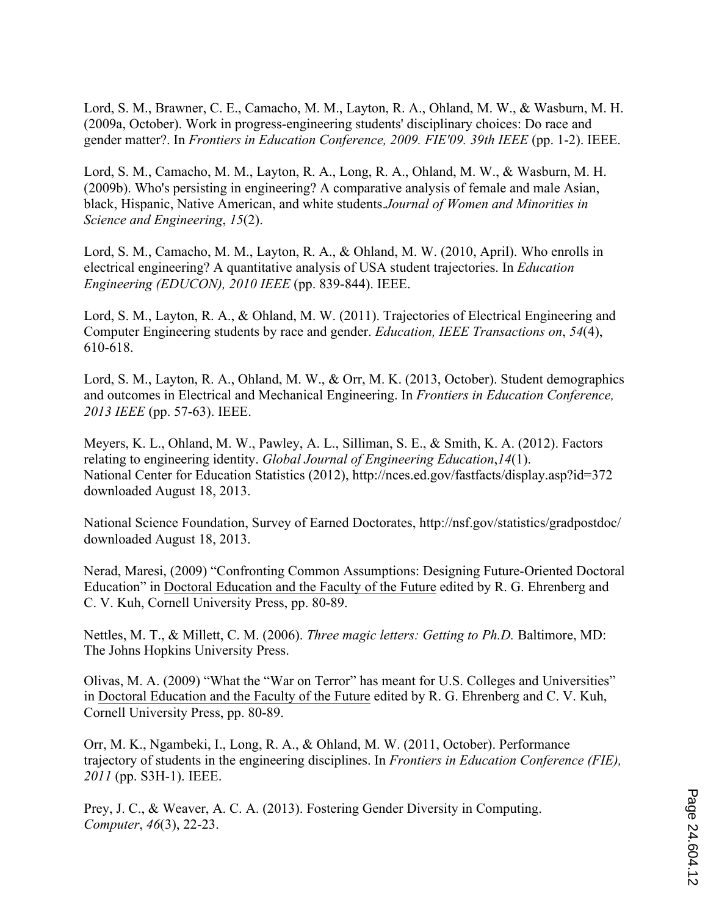Lord, S. M., Brawner, C. E., Camacho, M. M., Layton, R. A., Ohland, M. W., & Wasburn, M. H. (2009a, October). Work in progress-engineering students' disciplinary choices: Do race and gender matter?. In *Frontiers in Education Conference, 2009. FIE'09. 39th IEEE* (pp. 1-2). IEEE.

Lord, S. M., Camacho, M. M., Layton, R. A., Long, R. A., Ohland, M. W., & Wasburn, M. H. (2009b). Who's persisting in engineering? A comparative analysis of female and male Asian, black, Hispanic, Native American, and white students.*Journal of Women and Minorities in Science and Engineering*, *15*(2).

Lord, S. M., Camacho, M. M., Layton, R. A., & Ohland, M. W. (2010, April). Who enrolls in electrical engineering? A quantitative analysis of USA student trajectories. In *Education Engineering (EDUCON), 2010 IEEE* (pp. 839-844). IEEE.

Lord, S. M., Layton, R. A., & Ohland, M. W. (2011). Trajectories of Electrical Engineering and Computer Engineering students by race and gender. *Education, IEEE Transactions on*, *54*(4), 610-618.

Lord, S. M., Layton, R. A., Ohland, M. W., & Orr, M. K. (2013, October). Student demographics and outcomes in Electrical and Mechanical Engineering. In *Frontiers in Education Conference, 2013 IEEE* (pp. 57-63). IEEE.

Meyers, K. L., Ohland, M. W., Pawley, A. L., Silliman, S. E., & Smith, K. A. (2012). Factors relating to engineering identity. *Global Journal of Engineering Education*,*14*(1). National Center for Education Statistics (2012), http://nces.ed.gov/fastfacts/display.asp?id=372 downloaded August 18, 2013.

National Science Foundation, Survey of Earned Doctorates, http://nsf.gov/statistics/gradpostdoc/ downloaded August 18, 2013.

Nerad, Maresi, (2009) "Confronting Common Assumptions: Designing Future-Oriented Doctoral Education" in Doctoral Education and the Faculty of the Future edited by R. G. Ehrenberg and C. V. Kuh, Cornell University Press, pp. 80-89.

Nettles, M. T., & Millett, C. M. (2006). *Three magic letters: Getting to Ph.D.* Baltimore, MD: The Johns Hopkins University Press.

Olivas, M. A. (2009) "What the "War on Terror" has meant for U.S. Colleges and Universities" in Doctoral Education and the Faculty of the Future edited by R. G. Ehrenberg and C. V. Kuh, Cornell University Press, pp. 80-89.

Orr, M. K., Ngambeki, I., Long, R. A., & Ohland, M. W. (2011, October). Performance trajectory of students in the engineering disciplines. In *Frontiers in Education Conference (FIE), 2011* (pp. S3H-1). IEEE.

Prey, J. C., & Weaver, A. C. A. (2013). Fostering Gender Diversity in Computing. *Computer*, *46*(3), 22-23.